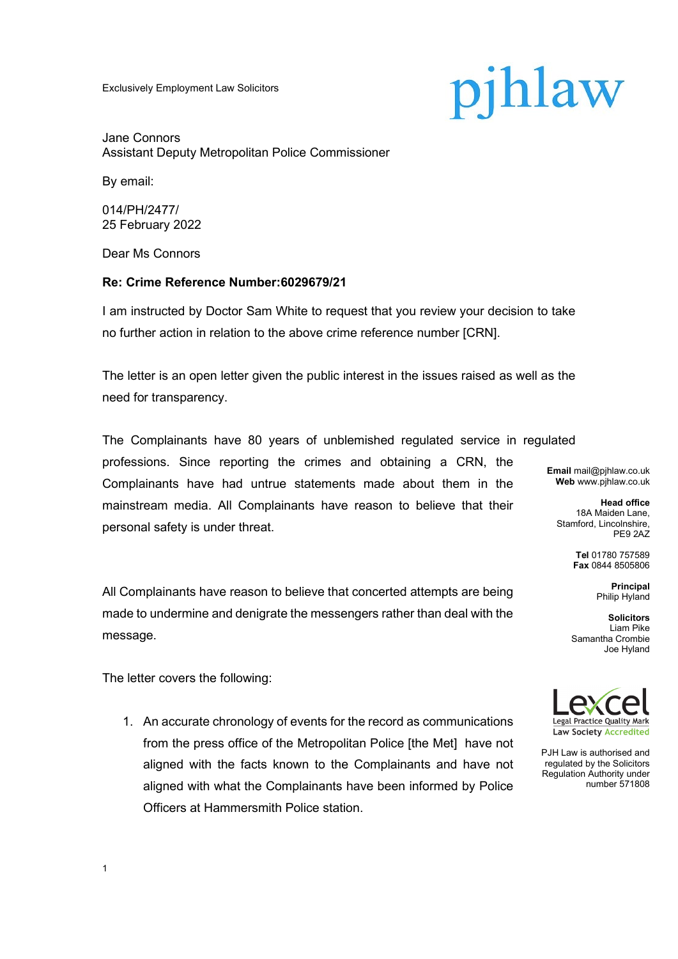Exclusively Employment Law Solicitors

# pjhlaw

Jane Connors Assistant Deputy Metropolitan Police Commissioner

By email:

014/PH/2477/ 25 February 2022

Dear Ms Connors

## **Re: Crime Reference Number:6029679/21**

I am instructed by Doctor Sam White to request that you review your decision to take no further action in relation to the above crime reference number [CRN].

The letter is an open letter given the public interest in the issues raised as well as the need for transparency.

The Complainants have 80 years of unblemished regulated service in regulated professions. Since reporting the crimes and obtaining a CRN, the Complainants have had untrue statements made about them in the mainstream media. All Complainants have reason to believe that their personal safety is under threat.

All Complainants have reason to believe that concerted attempts are being made to undermine and denigrate the messengers rather than deal with the message.

The letter covers the following:

1

1. An accurate chronology of events for the record as communications from the press office of the Metropolitan Police [the Met] have not aligned with the facts known to the Complainants and have not aligned with what the Complainants have been informed by Police Officers at Hammersmith Police station.

**Email** mail@pjhlaw.co.uk **Web** www.pjhlaw.co.uk

**Head office** 18A Maiden Lane, Stamford, Lincolnshire, PE9 2AZ

> **Tel** 01780 757589 **Fax** 0844 8505806

> > **Principal** Philip Hyland

**Solicitors** Liam Pike Samantha Crombie Joe Hyland



PJH Law is authorised and regulated by the Solicitors Regulation Authority under number 571808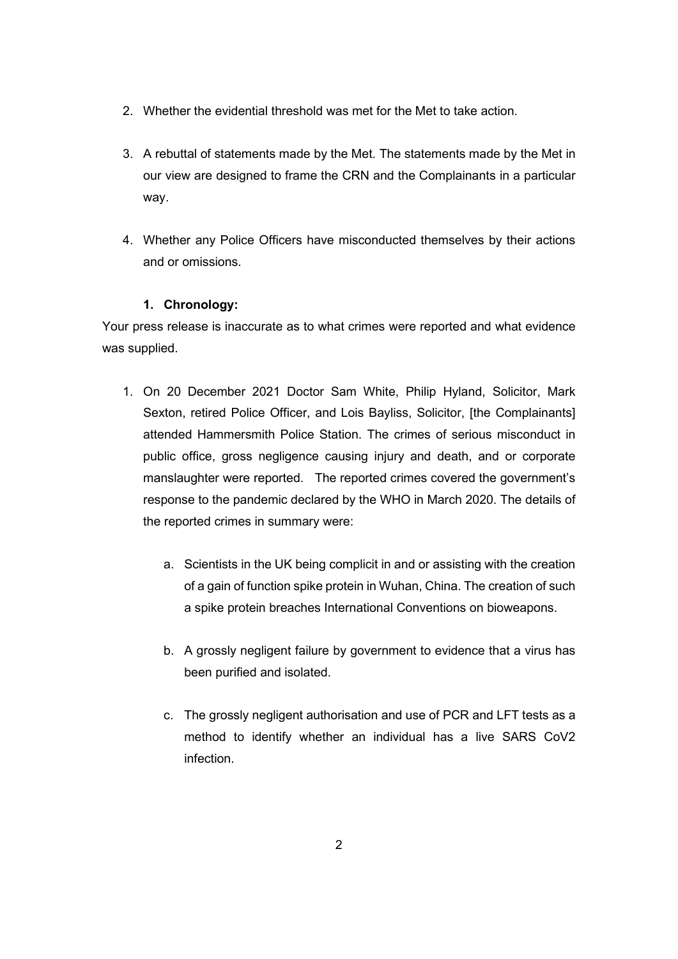- 2. Whether the evidential threshold was met for the Met to take action.
- 3. A rebuttal of statements made by the Met. The statements made by the Met in our view are designed to frame the CRN and the Complainants in a particular way.
- 4. Whether any Police Officers have misconducted themselves by their actions and or omissions.

## **1. Chronology:**

Your press release is inaccurate as to what crimes were reported and what evidence was supplied.

- 1. On 20 December 2021 Doctor Sam White, Philip Hyland, Solicitor, Mark Sexton, retired Police Officer, and Lois Bayliss, Solicitor, [the Complainants] attended Hammersmith Police Station. The crimes of serious misconduct in public office, gross negligence causing injury and death, and or corporate manslaughter were reported. The reported crimes covered the government's response to the pandemic declared by the WHO in March 2020. The details of the reported crimes in summary were:
	- a. Scientists in the UK being complicit in and or assisting with the creation of a gain of function spike protein in Wuhan, China. The creation of such a spike protein breaches International Conventions on bioweapons.
	- b. A grossly negligent failure by government to evidence that a virus has been purified and isolated.
	- c. The grossly negligent authorisation and use of PCR and LFT tests as a method to identify whether an individual has a live SARS CoV2 infection.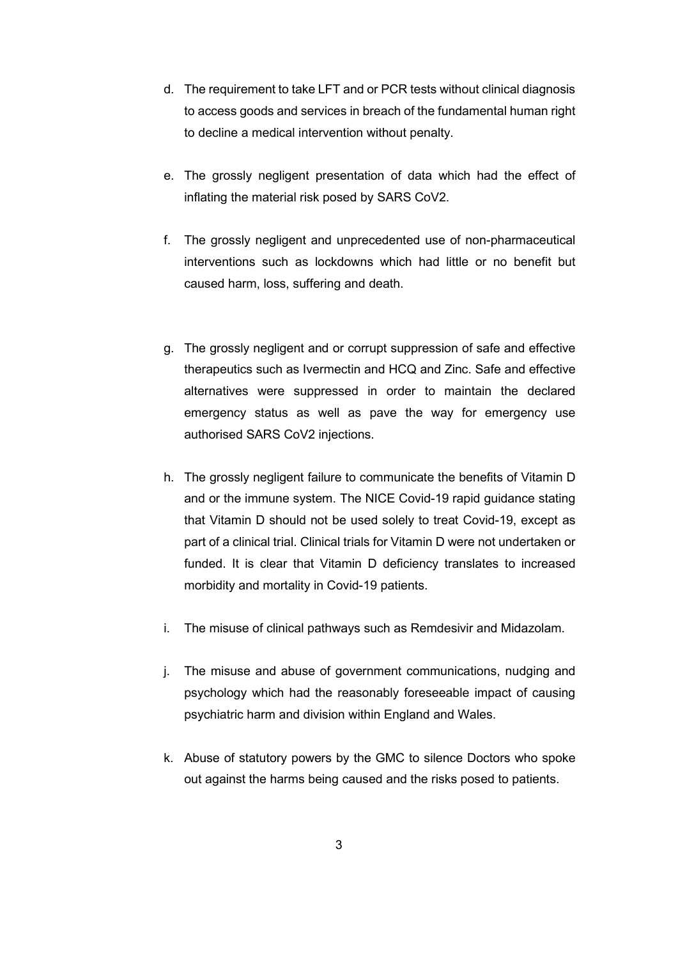- d. The requirement to take LFT and or PCR tests without clinical diagnosis to access goods and services in breach of the fundamental human right to decline a medical intervention without penalty.
- e. The grossly negligent presentation of data which had the effect of inflating the material risk posed by SARS CoV2.
- f. The grossly negligent and unprecedented use of non-pharmaceutical interventions such as lockdowns which had little or no benefit but caused harm, loss, suffering and death.
- g. The grossly negligent and or corrupt suppression of safe and effective therapeutics such as Ivermectin and HCQ and Zinc. Safe and effective alternatives were suppressed in order to maintain the declared emergency status as well as pave the way for emergency use authorised SARS CoV2 injections.
- h. The grossly negligent failure to communicate the benefits of Vitamin D and or the immune system. The NICE Covid-19 rapid guidance stating that Vitamin D should not be used solely to treat Covid-19, except as part of a clinical trial. Clinical trials for Vitamin D were not undertaken or funded. It is clear that Vitamin D deficiency translates to increased morbidity and mortality in Covid-19 patients.
- i. The misuse of clinical pathways such as Remdesivir and Midazolam.
- j. The misuse and abuse of government communications, nudging and psychology which had the reasonably foreseeable impact of causing psychiatric harm and division within England and Wales.
- k. Abuse of statutory powers by the GMC to silence Doctors who spoke out against the harms being caused and the risks posed to patients.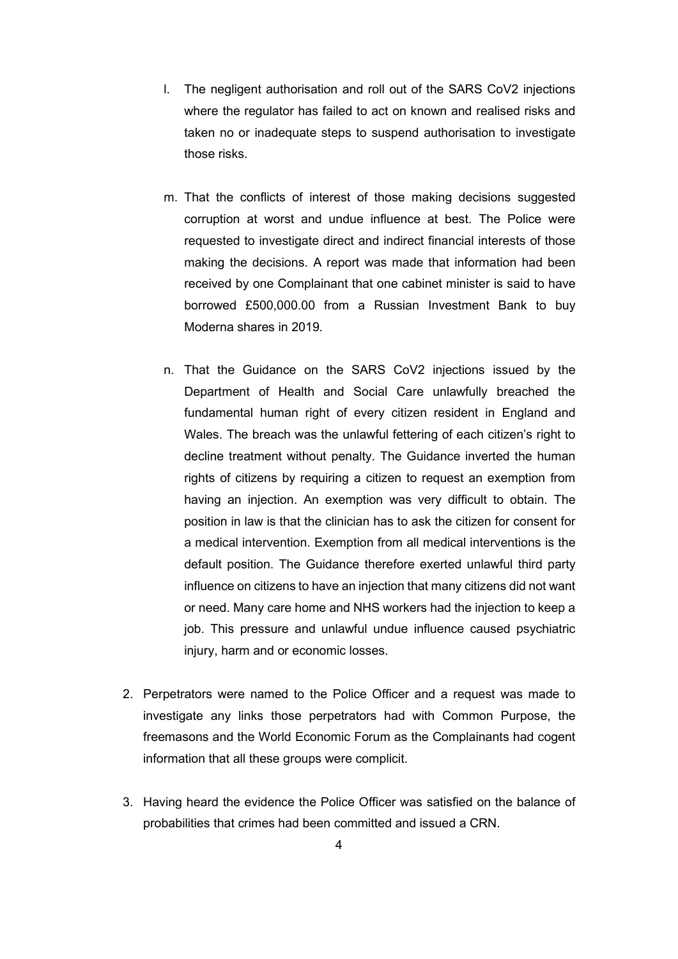- l. The negligent authorisation and roll out of the SARS CoV2 injections where the regulator has failed to act on known and realised risks and taken no or inadequate steps to suspend authorisation to investigate those risks.
- m. That the conflicts of interest of those making decisions suggested corruption at worst and undue influence at best. The Police were requested to investigate direct and indirect financial interests of those making the decisions. A report was made that information had been received by one Complainant that one cabinet minister is said to have borrowed £500,000.00 from a Russian Investment Bank to buy Moderna shares in 2019.
- n. That the Guidance on the SARS CoV2 injections issued by the Department of Health and Social Care unlawfully breached the fundamental human right of every citizen resident in England and Wales. The breach was the unlawful fettering of each citizen's right to decline treatment without penalty. The Guidance inverted the human rights of citizens by requiring a citizen to request an exemption from having an injection. An exemption was very difficult to obtain. The position in law is that the clinician has to ask the citizen for consent for a medical intervention. Exemption from all medical interventions is the default position. The Guidance therefore exerted unlawful third party influence on citizens to have an injection that many citizens did not want or need. Many care home and NHS workers had the injection to keep a job. This pressure and unlawful undue influence caused psychiatric injury, harm and or economic losses.
- 2. Perpetrators were named to the Police Officer and a request was made to investigate any links those perpetrators had with Common Purpose, the freemasons and the World Economic Forum as the Complainants had cogent information that all these groups were complicit.
- 3. Having heard the evidence the Police Officer was satisfied on the balance of probabilities that crimes had been committed and issued a CRN.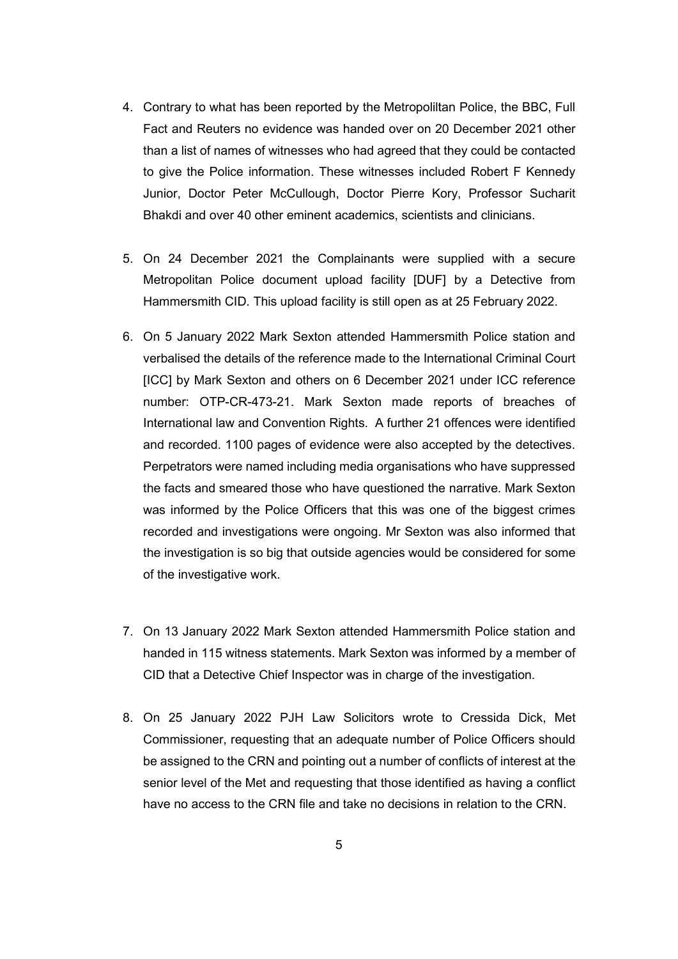- 4. Contrary to what has been reported by the Metropoliltan Police, the BBC, Full Fact and Reuters no evidence was handed over on 20 December 2021 other than a list of names of witnesses who had agreed that they could be contacted to give the Police information. These witnesses included Robert F Kennedy Junior, Doctor Peter McCullough, Doctor Pierre Kory, Professor Sucharit Bhakdi and over 40 other eminent academics, scientists and clinicians.
- 5. On 24 December 2021 the Complainants were supplied with a secure Metropolitan Police document upload facility [DUF] by a Detective from Hammersmith CID. This upload facility is still open as at 25 February 2022.
- 6. On 5 January 2022 Mark Sexton attended Hammersmith Police station and verbalised the details of the reference made to the International Criminal Court [ICC] by Mark Sexton and others on 6 December 2021 under ICC reference number: OTP-CR-473-21. Mark Sexton made reports of breaches of International law and Convention Rights. A further 21 offences were identified and recorded. 1100 pages of evidence were also accepted by the detectives. Perpetrators were named including media organisations who have suppressed the facts and smeared those who have questioned the narrative. Mark Sexton was informed by the Police Officers that this was one of the biggest crimes recorded and investigations were ongoing. Mr Sexton was also informed that the investigation is so big that outside agencies would be considered for some of the investigative work.
- 7. On 13 January 2022 Mark Sexton attended Hammersmith Police station and handed in 115 witness statements. Mark Sexton was informed by a member of CID that a Detective Chief Inspector was in charge of the investigation.
- 8. On 25 January 2022 PJH Law Solicitors wrote to Cressida Dick, Met Commissioner, requesting that an adequate number of Police Officers should be assigned to the CRN and pointing out a number of conflicts of interest at the senior level of the Met and requesting that those identified as having a conflict have no access to the CRN file and take no decisions in relation to the CRN.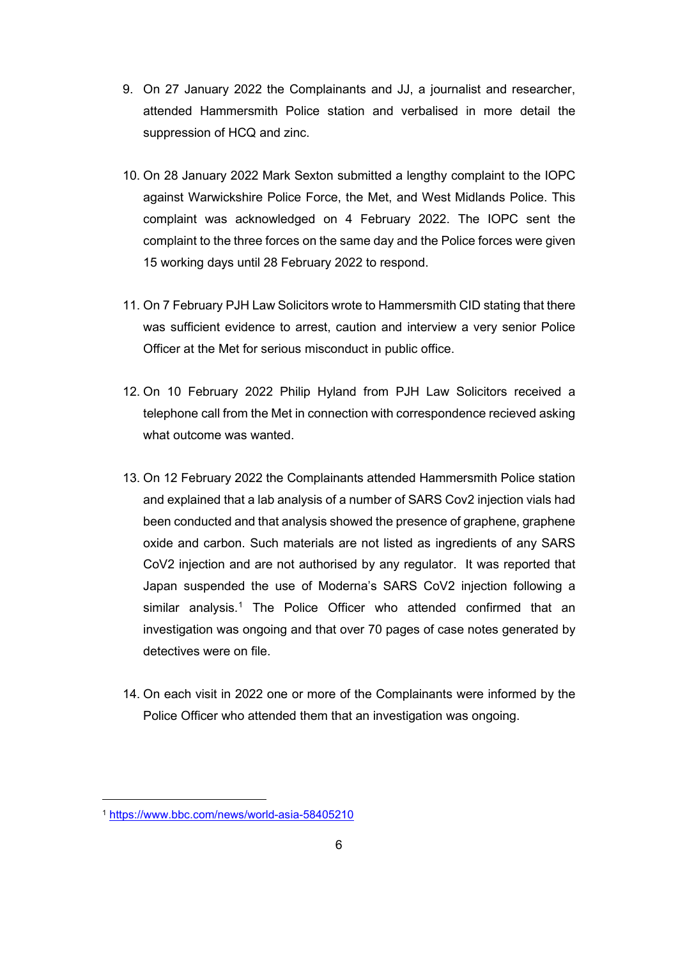- 9. On 27 January 2022 the Complainants and JJ, a journalist and researcher, attended Hammersmith Police station and verbalised in more detail the suppression of HCQ and zinc.
- 10. On 28 January 2022 Mark Sexton submitted a lengthy complaint to the IOPC against Warwickshire Police Force, the Met, and West Midlands Police. This complaint was acknowledged on 4 February 2022. The IOPC sent the complaint to the three forces on the same day and the Police forces were given 15 working days until 28 February 2022 to respond.
- 11. On 7 February PJH Law Solicitors wrote to Hammersmith CID stating that there was sufficient evidence to arrest, caution and interview a very senior Police Officer at the Met for serious misconduct in public office.
- 12. On 10 February 2022 Philip Hyland from PJH Law Solicitors received a telephone call from the Met in connection with correspondence recieved asking what outcome was wanted.
- 13. On 12 February 2022 the Complainants attended Hammersmith Police station and explained that a lab analysis of a number of SARS Cov2 injection vials had been conducted and that analysis showed the presence of graphene, graphene oxide and carbon. Such materials are not listed as ingredients of any SARS CoV2 injection and are not authorised by any regulator. It was reported that Japan suspended the use of Moderna's SARS CoV2 injection following a similar analysis.<sup>[1](#page-5-0)</sup> The Police Officer who attended confirmed that an investigation was ongoing and that over 70 pages of case notes generated by detectives were on file.
- 14. On each visit in 2022 one or more of the Complainants were informed by the Police Officer who attended them that an investigation was ongoing.

<span id="page-5-0"></span><sup>1</sup> <https://www.bbc.com/news/world-asia-58405210>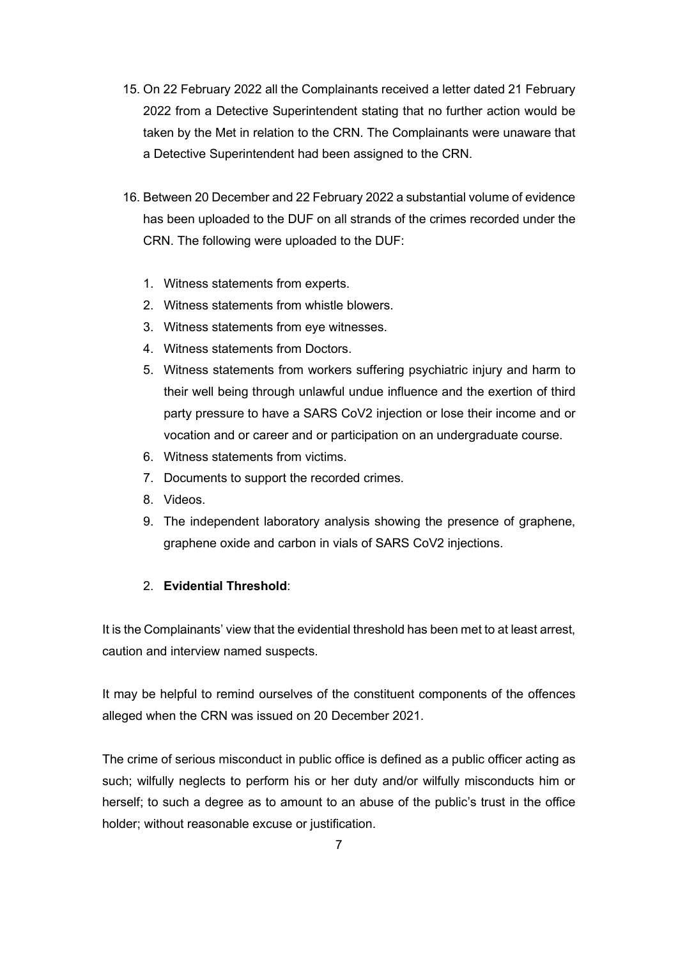- 15. On 22 February 2022 all the Complainants received a letter dated 21 February 2022 from a Detective Superintendent stating that no further action would be taken by the Met in relation to the CRN. The Complainants were unaware that a Detective Superintendent had been assigned to the CRN.
- 16. Between 20 December and 22 February 2022 a substantial volume of evidence has been uploaded to the DUF on all strands of the crimes recorded under the CRN. The following were uploaded to the DUF:
	- 1. Witness statements from experts.
	- 2. Witness statements from whistle blowers.
	- 3. Witness statements from eye witnesses.
	- 4. Witness statements from Doctors.
	- 5. Witness statements from workers suffering psychiatric injury and harm to their well being through unlawful undue influence and the exertion of third party pressure to have a SARS CoV2 injection or lose their income and or vocation and or career and or participation on an undergraduate course.
	- 6. Witness statements from victims.
	- 7. Documents to support the recorded crimes.
	- 8. Videos.
	- 9. The independent laboratory analysis showing the presence of graphene, graphene oxide and carbon in vials of SARS CoV2 injections.

## 2. **Evidential Threshold**:

It is the Complainants' view that the evidential threshold has been met to at least arrest, caution and interview named suspects.

It may be helpful to remind ourselves of the constituent components of the offences alleged when the CRN was issued on 20 December 2021.

The crime of serious misconduct in public office is defined as a public officer acting as such; wilfully neglects to perform his or her duty and/or wilfully misconducts him or herself; to such a degree as to amount to an abuse of the public's trust in the office holder; without reasonable excuse or justification.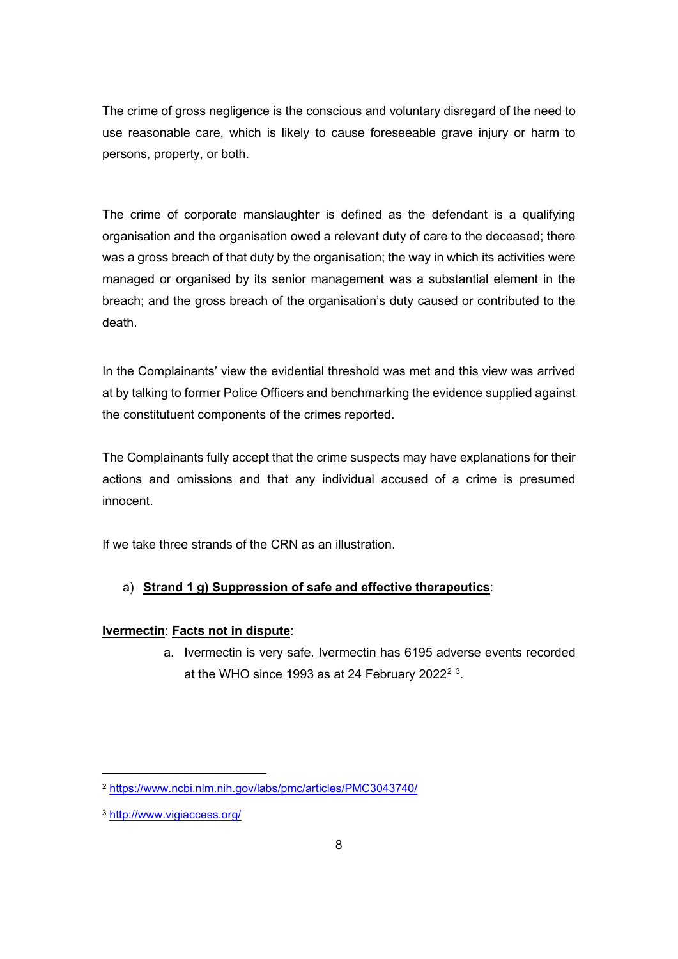The crime of gross negligence is the conscious and voluntary disregard of the need to use reasonable care, which is likely to cause foreseeable grave injury or harm to persons, property, or both.

The crime of corporate manslaughter is defined as the defendant is a qualifying organisation and the organisation owed a relevant duty of care to the deceased; there was a gross breach of that duty by the organisation; the way in which its activities were managed or organised by its senior management was a substantial element in the breach; and the gross breach of the organisation's duty caused or contributed to the death.

In the Complainants' view the evidential threshold was met and this view was arrived at by talking to former Police Officers and benchmarking the evidence supplied against the constitutuent components of the crimes reported.

The Complainants fully accept that the crime suspects may have explanations for their actions and omissions and that any individual accused of a crime is presumed innocent.

If we take three strands of the CRN as an illustration.

## a) **Strand 1 g) Suppression of safe and effective therapeutics**:

#### **Ivermectin**: **Facts not in dispute**:

a. Ivermectin is very safe. Ivermectin has 6195 adverse events recorded at the WHO since 1993 as at [2](#page-7-0)4 February 2022 $^{\rm 2}$   $^{\rm 3}$  $^{\rm 3}$  $^{\rm 3}$ .

<span id="page-7-0"></span><sup>2</sup> <https://www.ncbi.nlm.nih.gov/labs/pmc/articles/PMC3043740/>

<span id="page-7-1"></span><sup>3</sup> <http://www.vigiaccess.org/>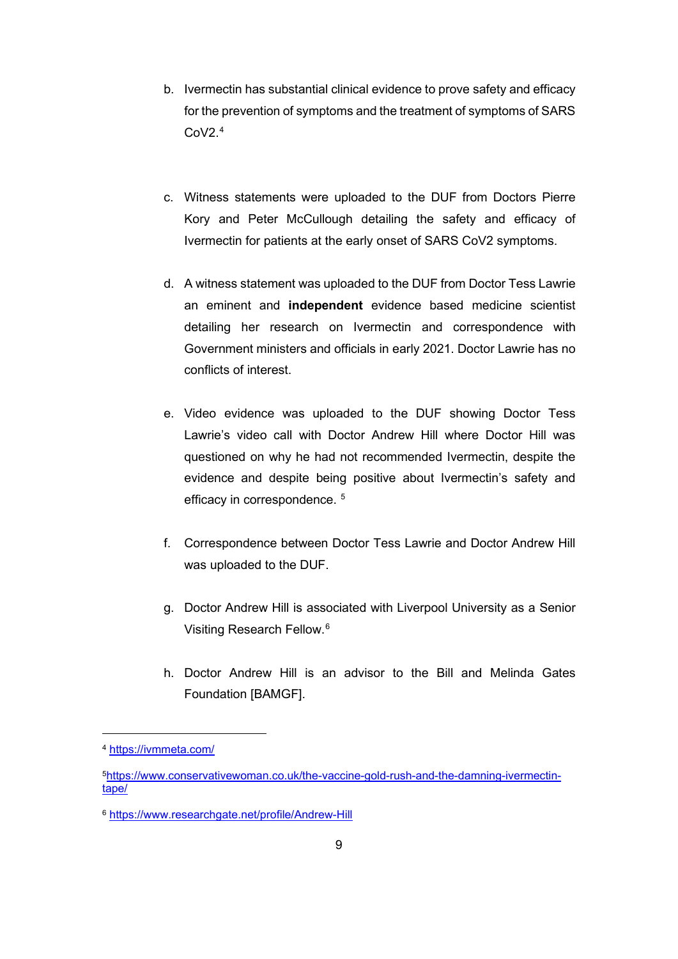- b. Ivermectin has substantial clinical evidence to prove safety and efficacy for the prevention of symptoms and the treatment of symptoms of SARS  $C_0V2<sup>4</sup>$  $C_0V2<sup>4</sup>$  $C_0V2<sup>4</sup>$
- c. Witness statements were uploaded to the DUF from Doctors Pierre Kory and Peter McCullough detailing the safety and efficacy of Ivermectin for patients at the early onset of SARS CoV2 symptoms.
- d. A witness statement was uploaded to the DUF from Doctor Tess Lawrie an eminent and **independent** evidence based medicine scientist detailing her research on Ivermectin and correspondence with Government ministers and officials in early 2021. Doctor Lawrie has no conflicts of interest.
- e. Video evidence was uploaded to the DUF showing Doctor Tess Lawrie's video call with Doctor Andrew Hill where Doctor Hill was questioned on why he had not recommended Ivermectin, despite the evidence and despite being positive about Ivermectin's safety and efficacy in correspondence.<sup>[5](#page-8-1)</sup>
- f. Correspondence between Doctor Tess Lawrie and Doctor Andrew Hill was uploaded to the DUF.
- g. Doctor Andrew Hill is associated with Liverpool University as a Senior Visiting Research Fellow.[6](#page-8-2)
- h. Doctor Andrew Hill is an advisor to the Bill and Melinda Gates Foundation [BAMGF].

<span id="page-8-0"></span><sup>4</sup> <https://ivmmeta.com/>

<span id="page-8-1"></span>[<sup>5</sup>https://www.conservativewoman.co.uk/the-vaccine-gold-rush-and-the-damning-ivermectin](https://www.conservativewoman.co.uk/the-vaccine-gold-rush-and-the-damning-ivermectin-tape/)[tape/](https://www.conservativewoman.co.uk/the-vaccine-gold-rush-and-the-damning-ivermectin-tape/)

<span id="page-8-2"></span><sup>6</sup> <https://www.researchgate.net/profile/Andrew-Hill>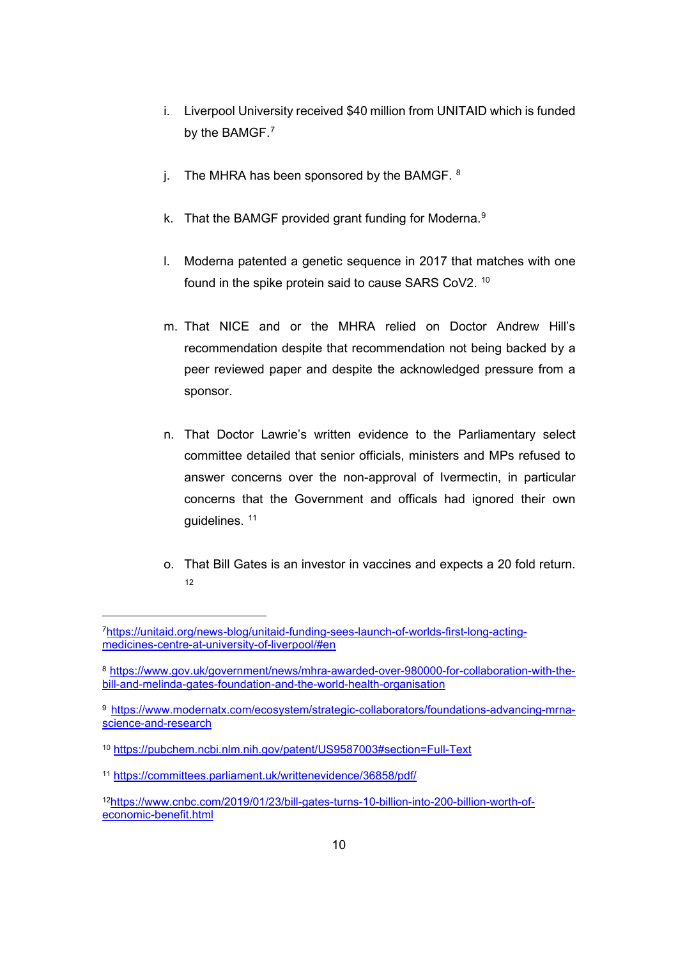- i. Liverpool University received \$40 million from UNITAID which is funded by the BAMGF.<sup>[7](#page-9-0)</sup>
- j. The MHRA has been sponsored by the BAMGF.  $8$
- k. That the BAMGF provided grant funding for Moderna.<sup>[9](#page-9-2)</sup>
- l. Moderna patented a genetic sequence in 2017 that matches with one found in the spike protein said to cause SARS CoV2. [10](#page-9-3)
- m. That NICE and or the MHRA relied on Doctor Andrew Hill's recommendation despite that recommendation not being backed by a peer reviewed paper and despite the acknowledged pressure from a sponsor.
- n. That Doctor Lawrie's written evidence to the Parliamentary select committee detailed that senior officials, ministers and MPs refused to answer concerns over the non-approval of Ivermectin, in particular concerns that the Government and officals had ignored their own guidelines. [11](#page-9-4)
- o. That Bill Gates is an investor in vaccines and expects a 20 fold return. [12](#page-9-5)

<span id="page-9-0"></span>[<sup>7</sup>https://unitaid.org/news-blog/unitaid-funding-sees-launch-of-worlds-first-long-acting](https://unitaid.org/news-blog/unitaid-funding-sees-launch-of-worlds-first-long-acting-medicines-centre-at-university-of-liverpool/#en)[medicines-centre-at-university-of-liverpool/#en](https://unitaid.org/news-blog/unitaid-funding-sees-launch-of-worlds-first-long-acting-medicines-centre-at-university-of-liverpool/#en)

<span id="page-9-1"></span><sup>8</sup> [https://www.gov.uk/government/news/mhra-awarded-over-980000-for-collaboration-with-the](https://www.gov.uk/government/news/mhra-awarded-over-980000-for-collaboration-with-the-bill-and-melinda-gates-foundation-and-the-world-health-organisation)[bill-and-melinda-gates-foundation-and-the-world-health-organisation](https://www.gov.uk/government/news/mhra-awarded-over-980000-for-collaboration-with-the-bill-and-melinda-gates-foundation-and-the-world-health-organisation)

<span id="page-9-2"></span><sup>9</sup> [https://www.modernatx.com/ecosystem/strategic-collaborators/foundations-advancing-mrna](https://www.modernatx.com/ecosystem/strategic-collaborators/foundations-advancing-mrna-science-and-research)[science-and-research](https://www.modernatx.com/ecosystem/strategic-collaborators/foundations-advancing-mrna-science-and-research)

<span id="page-9-3"></span><sup>10</sup> <https://pubchem.ncbi.nlm.nih.gov/patent/US9587003#section=Full-Text>

<span id="page-9-4"></span><sup>11</sup> <https://committees.parliament.uk/writtenevidence/36858/pdf/>

<span id="page-9-5"></span><sup>1</sup>[2https://www.cnbc.com/2019/01/23/bill-gates-turns-10-billion-into-200-billion-worth-of](https://www.cnbc.com/2019/01/23/bill-gates-turns-10-billion-into-200-billion-worth-of-economic-benefit.html)[economic-benefit.html](https://www.cnbc.com/2019/01/23/bill-gates-turns-10-billion-into-200-billion-worth-of-economic-benefit.html)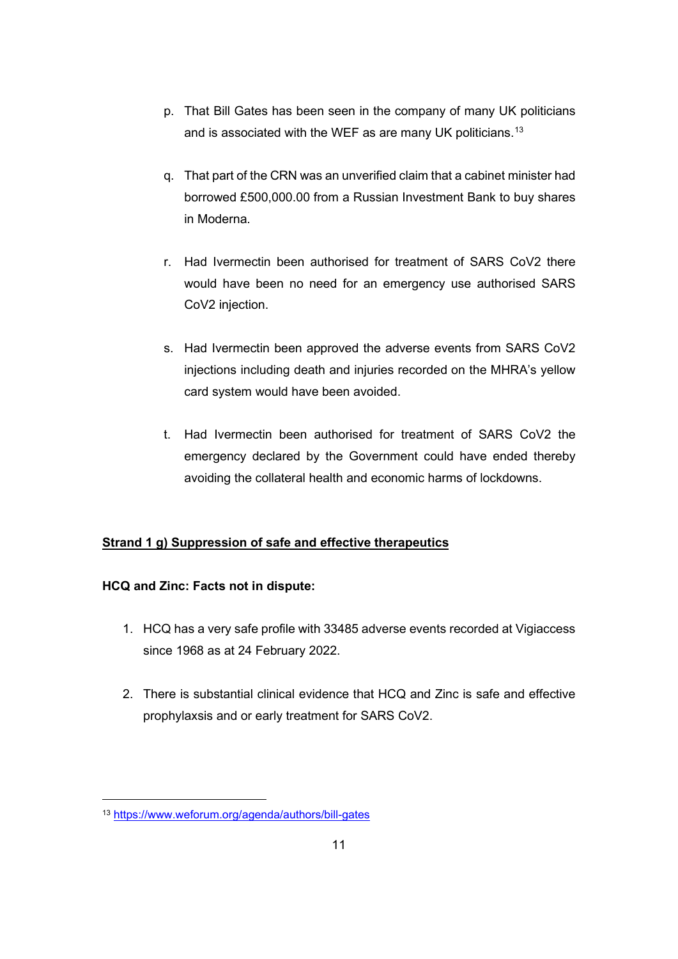- p. That Bill Gates has been seen in the company of many UK politicians and is associated with the WEF as are many UK politicians.<sup>[13](#page-10-0)</sup>
- q. That part of the CRN was an unverified claim that a cabinet minister had borrowed £500,000.00 from a Russian Investment Bank to buy shares in Moderna.
- r. Had Ivermectin been authorised for treatment of SARS CoV2 there would have been no need for an emergency use authorised SARS CoV2 injection.
- s. Had Ivermectin been approved the adverse events from SARS CoV2 injections including death and injuries recorded on the MHRA's yellow card system would have been avoided.
- t. Had Ivermectin been authorised for treatment of SARS CoV2 the emergency declared by the Government could have ended thereby avoiding the collateral health and economic harms of lockdowns.

# **Strand 1 g) Suppression of safe and effective therapeutics**

# **HCQ and Zinc: Facts not in dispute:**

- 1. HCQ has a very safe profile with 33485 adverse events recorded at Vigiaccess since 1968 as at 24 February 2022.
- 2. There is substantial clinical evidence that HCQ and Zinc is safe and effective prophylaxsis and or early treatment for SARS CoV2.

<span id="page-10-0"></span><sup>13</sup> <https://www.weforum.org/agenda/authors/bill-gates>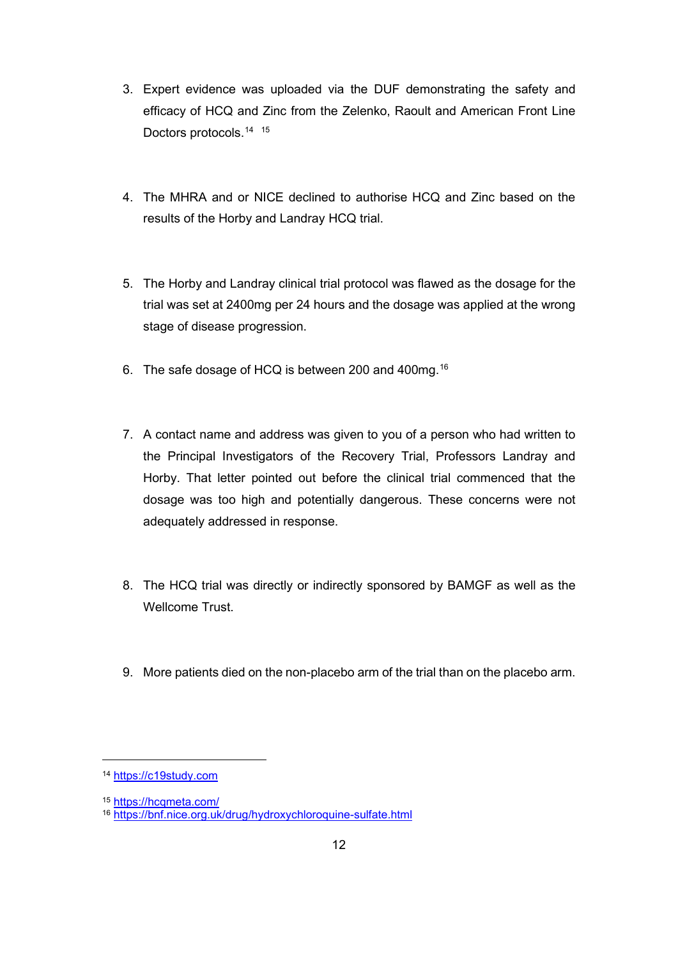- 3. Expert evidence was uploaded via the DUF demonstrating the safety and efficacy of HCQ and Zinc from the Zelenko, Raoult and American Front Line Doctors protocols.<sup>14</sup><sup>[15](#page-11-1)</sup>
- 4. The MHRA and or NICE declined to authorise HCQ and Zinc based on the results of the Horby and Landray HCQ trial.
- 5. The Horby and Landray clinical trial protocol was flawed as the dosage for the trial was set at 2400mg per 24 hours and the dosage was applied at the wrong stage of disease progression.
- 6. The safe dosage of HCQ is between 200 and 400mg.[16](#page-11-2)
- 7. A contact name and address was given to you of a person who had written to the Principal Investigators of the Recovery Trial, Professors Landray and Horby. That letter pointed out before the clinical trial commenced that the dosage was too high and potentially dangerous. These concerns were not adequately addressed in response.
- 8. The HCQ trial was directly or indirectly sponsored by BAMGF as well as the Wellcome Trust.
- 9. More patients died on the non-placebo arm of the trial than on the placebo arm.

<span id="page-11-0"></span><sup>14</sup> [https://c19study.com](https://c19study.com/)

<span id="page-11-2"></span><span id="page-11-1"></span><sup>15</sup> <https://hcqmeta.com/>

<sup>16</sup> <https://bnf.nice.org.uk/drug/hydroxychloroquine-sulfate.html>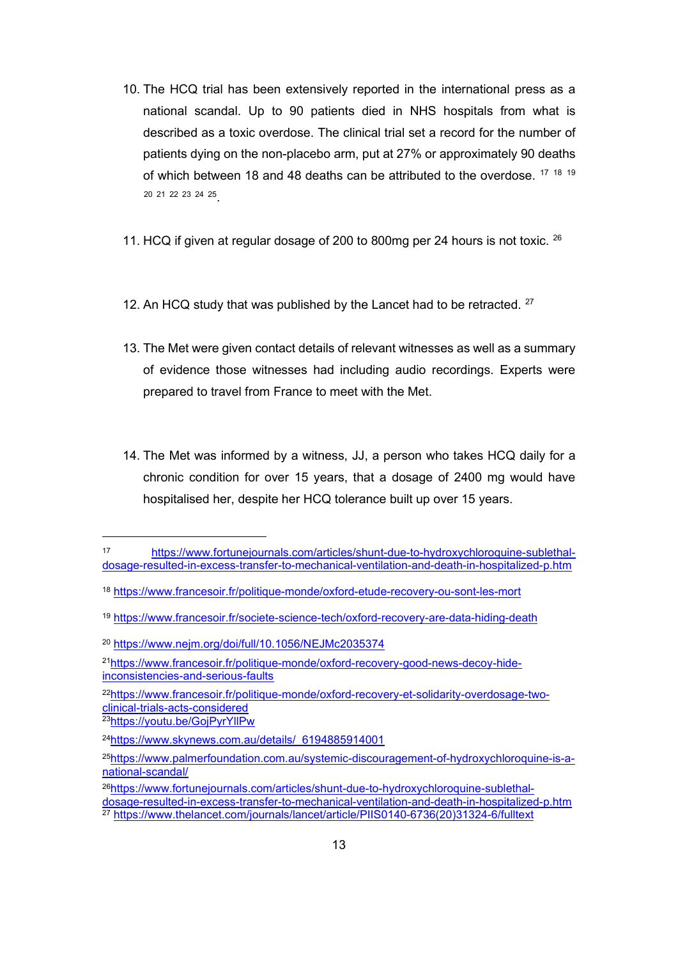- 10. The HCQ trial has been extensively reported in the international press as a national scandal. Up to 90 patients died in NHS hospitals from what is described as a toxic overdose. The clinical trial set a record for the number of patients dying on the non-placebo arm, put at 27% or approximately 90 deaths of which between 18 and 48 deaths can be attributed to the overdose. <sup>[17](#page-12-0) [18](#page-12-1) [19](#page-12-2)</sup> [20](#page-12-3) [21](#page-12-4) [22](#page-12-5) [23](#page-12-6) [24](#page-12-7) [25](#page-12-8).
- 11. HCQ if given at regular dosage of 200 to 800mg per 24 hours is not toxic. <sup>[26](#page-12-9)</sup>
- 12. An HCQ study that was published by the Lancet had to be retracted.  $27$
- 13. The Met were given contact details of relevant witnesses as well as a summary of evidence those witnesses had including audio recordings. Experts were prepared to travel from France to meet with the Met.
- 14. The Met was informed by a witness, JJ, a person who takes HCQ daily for a chronic condition for over 15 years, that a dosage of 2400 mg would have hospitalised her, despite her HCQ tolerance built up over 15 years.

<span id="page-12-0"></span><sup>17</sup> [https://www.fortunejournals.com/articles/shunt-due-to-hydroxychloroquine-sublethal](https://www.fortunejournals.com/articles/shunt-due-to-hydroxychloroquine-sublethal-dosage-resulted-in-excess-transfer-to-mechanical-ventilation-and-death-in-hospitalized-p.htm)[dosage-resulted-in-excess-transfer-to-mechanical-ventilation-and-death-in-hospitalized-p.htm](https://www.fortunejournals.com/articles/shunt-due-to-hydroxychloroquine-sublethal-dosage-resulted-in-excess-transfer-to-mechanical-ventilation-and-death-in-hospitalized-p.htm)

<span id="page-12-1"></span><sup>18</sup> <https://www.francesoir.fr/politique-monde/oxford-etude-recovery-ou-sont-les-mort>

<span id="page-12-2"></span><sup>19</sup> <https://www.francesoir.fr/societe-science-tech/oxford-recovery-are-data-hiding-death>

<span id="page-12-3"></span><sup>20</sup> <https://www.nejm.org/doi/full/10.1056/NEJMc2035374>

<span id="page-12-4"></span><sup>2</sup>[1https://www.francesoir.fr/politique-monde/oxford-recovery-good-news-decoy-hide](https://www.francesoir.fr/politique-monde/oxford-recovery-good-news-decoy-hide-inconsistencies-and-serious-faults)[inconsistencies-and-serious-faults](https://www.francesoir.fr/politique-monde/oxford-recovery-good-news-decoy-hide-inconsistencies-and-serious-faults)

<span id="page-12-5"></span><sup>2</sup>[2https://www.francesoir.fr/politique-monde/oxford-recovery-et-solidarity-overdosage-two](https://www.francesoir.fr/politique-monde/oxford-recovery-et-solidarity-overdosage-two-clinical-trials-acts-considered)[clinical-trials-acts-considered](https://www.francesoir.fr/politique-monde/oxford-recovery-et-solidarity-overdosage-two-clinical-trials-acts-considered)

<span id="page-12-6"></span><sup>2</sup>[3https://youtu.be/GojPyrYllPw](https://youtu.be/GojPyrYllPw)

<span id="page-12-7"></span><sup>2</sup>[4https://www.skynews.com.au/details/\\_6194885914001](https://www.skynews.com.au/details/_6194885914001)

<span id="page-12-8"></span><sup>2</sup>[5https://www.palmerfoundation.com.au/systemic-discouragement-of-hydroxychloroquine-is-a](https://www.palmerfoundation.com.au/systemic-discouragement-of-hydroxychloroquine-is-a-national-scandal/)[national-scandal/](https://www.palmerfoundation.com.au/systemic-discouragement-of-hydroxychloroquine-is-a-national-scandal/)

<span id="page-12-10"></span><span id="page-12-9"></span><sup>2</sup>[6https://www.fortunejournals.com/articles/shunt-due-to-hydroxychloroquine-sublethal](https://www.fortunejournals.com/articles/shunt-due-to-hydroxychloroquine-sublethal-dosage-resulted-in-excess-transfer-to-mechanical-ventilation-and-death-in-hospitalized-p.htm)[dosage-resulted-in-excess-transfer-to-mechanical-ventilation-and-death-in-hospitalized-p.htm](https://www.fortunejournals.com/articles/shunt-due-to-hydroxychloroquine-sublethal-dosage-resulted-in-excess-transfer-to-mechanical-ventilation-and-death-in-hospitalized-p.htm) <sup>27</sup> [https://www.thelancet.com/journals/lancet/article/PIIS0140-6736\(20\)31324-6/fulltext](https://www.thelancet.com/journals/lancet/article/PIIS0140-6736(20)31324-6/fulltext)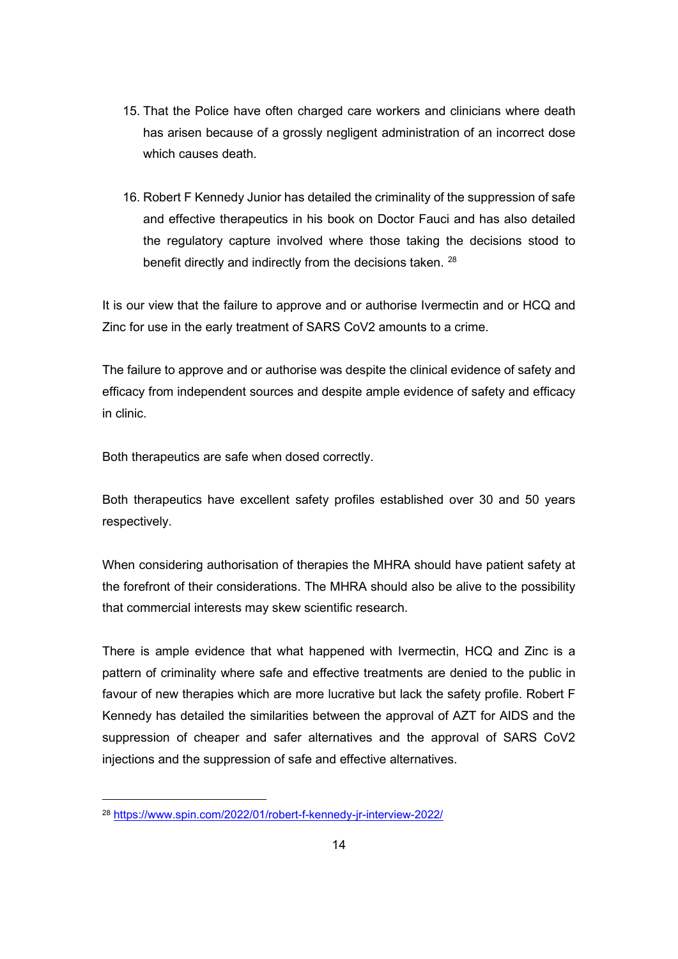- 15. That the Police have often charged care workers and clinicians where death has arisen because of a grossly negligent administration of an incorrect dose which causes death.
- 16. Robert F Kennedy Junior has detailed the criminality of the suppression of safe and effective therapeutics in his book on Doctor Fauci and has also detailed the regulatory capture involved where those taking the decisions stood to benefit directly and indirectly from the decisions taken. [28](#page-13-0)

It is our view that the failure to approve and or authorise Ivermectin and or HCQ and Zinc for use in the early treatment of SARS CoV2 amounts to a crime.

The failure to approve and or authorise was despite the clinical evidence of safety and efficacy from independent sources and despite ample evidence of safety and efficacy in clinic.

Both therapeutics are safe when dosed correctly.

Both therapeutics have excellent safety profiles established over 30 and 50 years respectively.

When considering authorisation of therapies the MHRA should have patient safety at the forefront of their considerations. The MHRA should also be alive to the possibility that commercial interests may skew scientific research.

There is ample evidence that what happened with Ivermectin, HCQ and Zinc is a pattern of criminality where safe and effective treatments are denied to the public in favour of new therapies which are more lucrative but lack the safety profile. Robert F Kennedy has detailed the similarities between the approval of AZT for AIDS and the suppression of cheaper and safer alternatives and the approval of SARS CoV2 injections and the suppression of safe and effective alternatives.

<span id="page-13-0"></span><sup>28</sup> <https://www.spin.com/2022/01/robert-f-kennedy-jr-interview-2022/>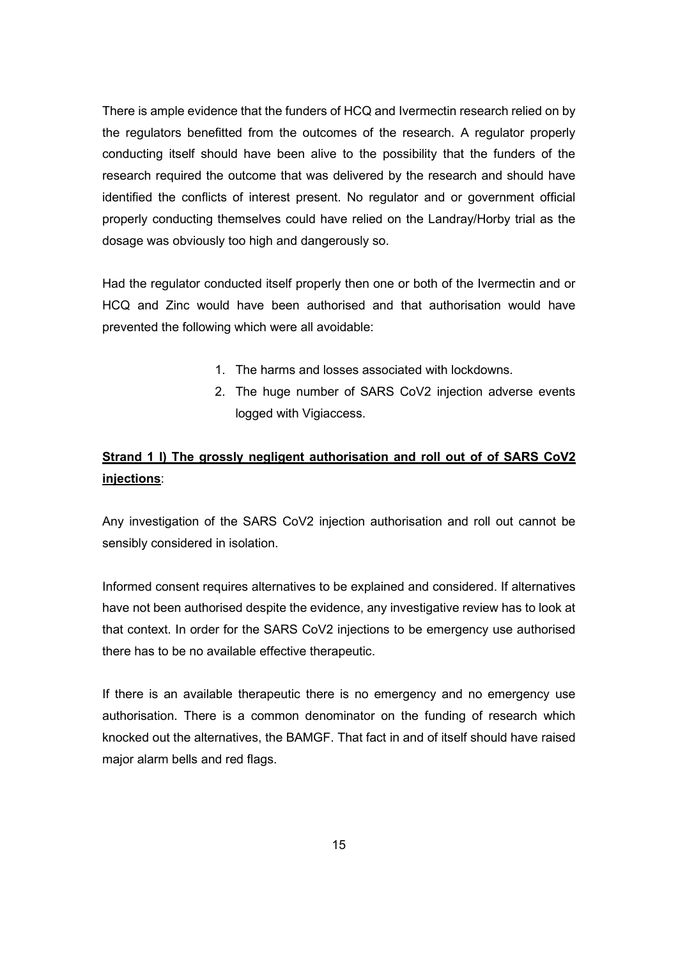There is ample evidence that the funders of HCQ and Ivermectin research relied on by the regulators benefitted from the outcomes of the research. A regulator properly conducting itself should have been alive to the possibility that the funders of the research required the outcome that was delivered by the research and should have identified the conflicts of interest present. No regulator and or government official properly conducting themselves could have relied on the Landray/Horby trial as the dosage was obviously too high and dangerously so.

Had the regulator conducted itself properly then one or both of the Ivermectin and or HCQ and Zinc would have been authorised and that authorisation would have prevented the following which were all avoidable:

- 1. The harms and losses associated with lockdowns.
- 2. The huge number of SARS CoV2 injection adverse events logged with Vigiaccess.

# **Strand 1 l) The grossly negligent authorisation and roll out of of SARS CoV2 injections**:

Any investigation of the SARS CoV2 injection authorisation and roll out cannot be sensibly considered in isolation.

Informed consent requires alternatives to be explained and considered. If alternatives have not been authorised despite the evidence, any investigative review has to look at that context. In order for the SARS CoV2 injections to be emergency use authorised there has to be no available effective therapeutic.

If there is an available therapeutic there is no emergency and no emergency use authorisation. There is a common denominator on the funding of research which knocked out the alternatives, the BAMGF. That fact in and of itself should have raised major alarm bells and red flags.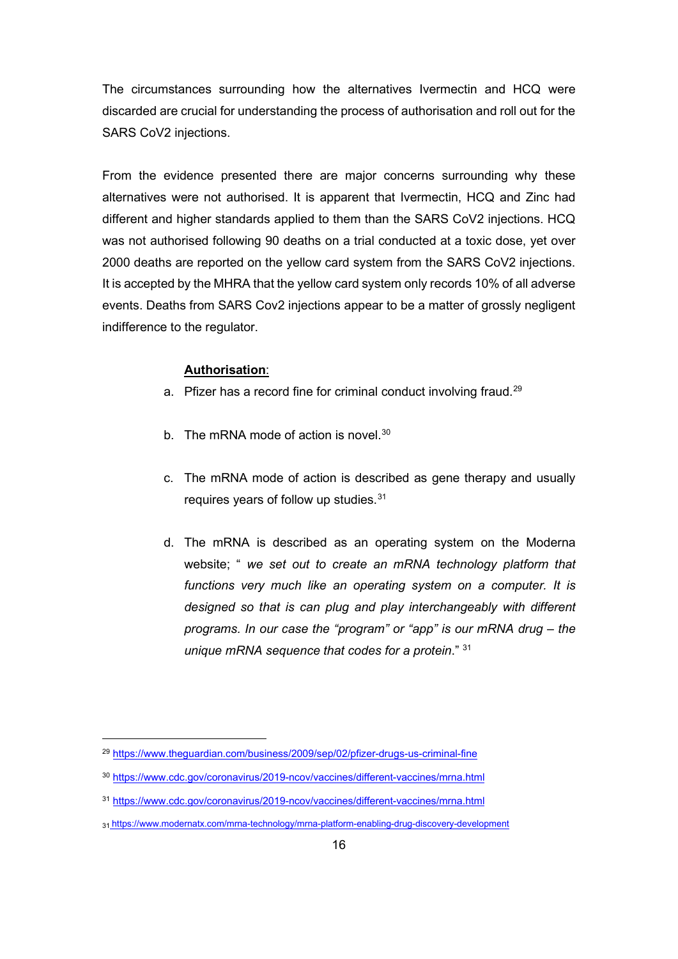The circumstances surrounding how the alternatives Ivermectin and HCQ were discarded are crucial for understanding the process of authorisation and roll out for the SARS CoV2 injections.

From the evidence presented there are major concerns surrounding why these alternatives were not authorised. It is apparent that Ivermectin, HCQ and Zinc had different and higher standards applied to them than the SARS CoV2 injections. HCQ was not authorised following 90 deaths on a trial conducted at a toxic dose, yet over 2000 deaths are reported on the yellow card system from the SARS CoV2 injections. It is accepted by the MHRA that the yellow card system only records 10% of all adverse events. Deaths from SARS Cov2 injections appear to be a matter of grossly negligent indifference to the regulator.

#### **Authorisation**:

- a. Pfizer has a record fine for criminal conduct involving fraud.<sup>[29](#page-15-0)</sup>
- b. The mRNA mode of action is novel.<sup>[30](#page-15-1)</sup>
- c. The mRNA mode of action is described as gene therapy and usually requires years of follow up studies.[31](#page-15-2)
- d. The mRNA is described as an operating system on the Moderna website; " *we set out to create an mRNA technology platform that functions very much like an operating system on a computer. It is designed so that is can plug and play interchangeably with different programs. In our case the "program" or "app" is our mRNA drug – the unique mRNA sequence that codes for a protein*." 31

<span id="page-15-0"></span><sup>29</sup> <https://www.theguardian.com/business/2009/sep/02/pfizer-drugs-us-criminal-fine>

<span id="page-15-1"></span><sup>30</sup> <https://www.cdc.gov/coronavirus/2019-ncov/vaccines/different-vaccines/mrna.html>

<span id="page-15-2"></span><sup>31</sup> <https://www.cdc.gov/coronavirus/2019-ncov/vaccines/different-vaccines/mrna.html>

<sup>31</sup> https://www.modernatx.com/mrna-technology/mrna-platform-enabling-drug-discovery-development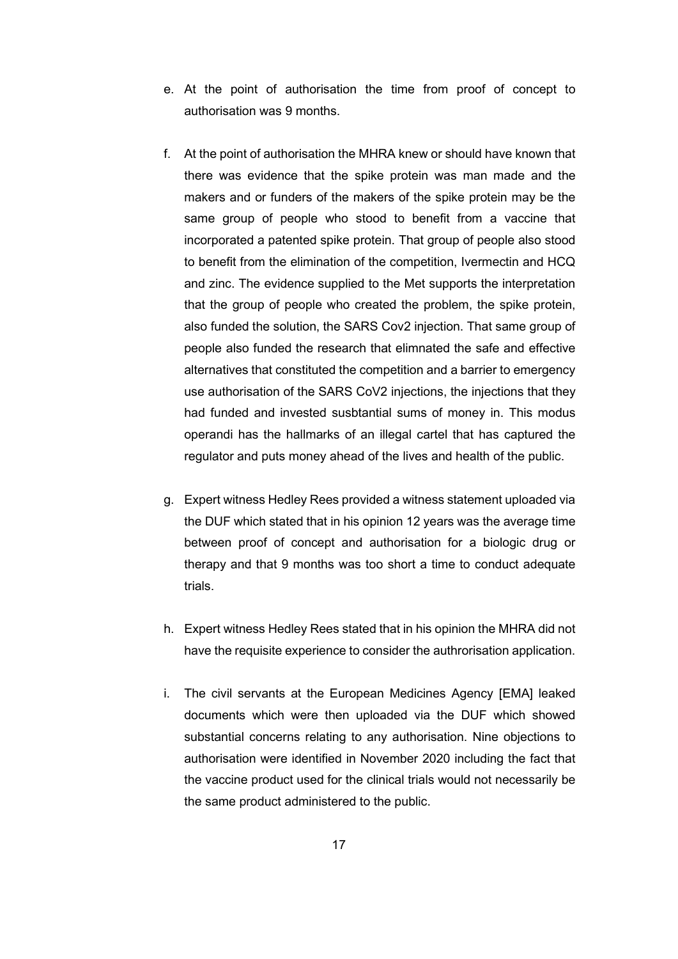- e. At the point of authorisation the time from proof of concept to authorisation was 9 months.
- f. At the point of authorisation the MHRA knew or should have known that there was evidence that the spike protein was man made and the makers and or funders of the makers of the spike protein may be the same group of people who stood to benefit from a vaccine that incorporated a patented spike protein. That group of people also stood to benefit from the elimination of the competition, Ivermectin and HCQ and zinc. The evidence supplied to the Met supports the interpretation that the group of people who created the problem, the spike protein, also funded the solution, the SARS Cov2 injection. That same group of people also funded the research that elimnated the safe and effective alternatives that constituted the competition and a barrier to emergency use authorisation of the SARS CoV2 injections, the injections that they had funded and invested susbtantial sums of money in. This modus operandi has the hallmarks of an illegal cartel that has captured the regulator and puts money ahead of the lives and health of the public.
- g. Expert witness Hedley Rees provided a witness statement uploaded via the DUF which stated that in his opinion 12 years was the average time between proof of concept and authorisation for a biologic drug or therapy and that 9 months was too short a time to conduct adequate trials.
- h. Expert witness Hedley Rees stated that in his opinion the MHRA did not have the requisite experience to consider the authrorisation application.
- i. The civil servants at the European Medicines Agency [EMA] leaked documents which were then uploaded via the DUF which showed substantial concerns relating to any authorisation. Nine objections to authorisation were identified in November 2020 including the fact that the vaccine product used for the clinical trials would not necessarily be the same product administered to the public.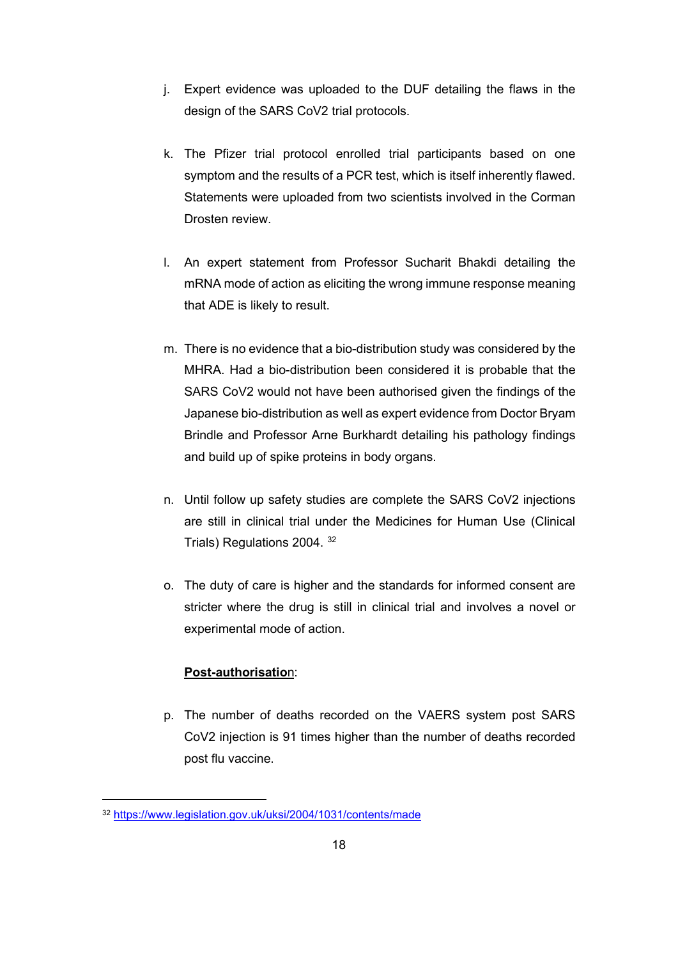- j. Expert evidence was uploaded to the DUF detailing the flaws in the design of the SARS CoV2 trial protocols.
- k. The Pfizer trial protocol enrolled trial participants based on one symptom and the results of a PCR test, which is itself inherently flawed. Statements were uploaded from two scientists involved in the Corman Drosten review.
- l. An expert statement from Professor Sucharit Bhakdi detailing the mRNA mode of action as eliciting the wrong immune response meaning that ADE is likely to result.
- m. There is no evidence that a bio-distribution study was considered by the MHRA. Had a bio-distribution been considered it is probable that the SARS CoV2 would not have been authorised given the findings of the Japanese bio-distribution as well as expert evidence from Doctor Bryam Brindle and Professor Arne Burkhardt detailing his pathology findings and build up of spike proteins in body organs.
- n. Until follow up safety studies are complete the SARS CoV2 injections are still in clinical trial under the Medicines for Human Use (Clinical Trials) Regulations 2004. [32](#page-17-0)
- o. The duty of care is higher and the standards for informed consent are stricter where the drug is still in clinical trial and involves a novel or experimental mode of action.

## **Post-authorisatio**n:

p. The number of deaths recorded on the VAERS system post SARS CoV2 injection is 91 times higher than the number of deaths recorded post flu vaccine.

<span id="page-17-0"></span><sup>32</sup> <https://www.legislation.gov.uk/uksi/2004/1031/contents/made>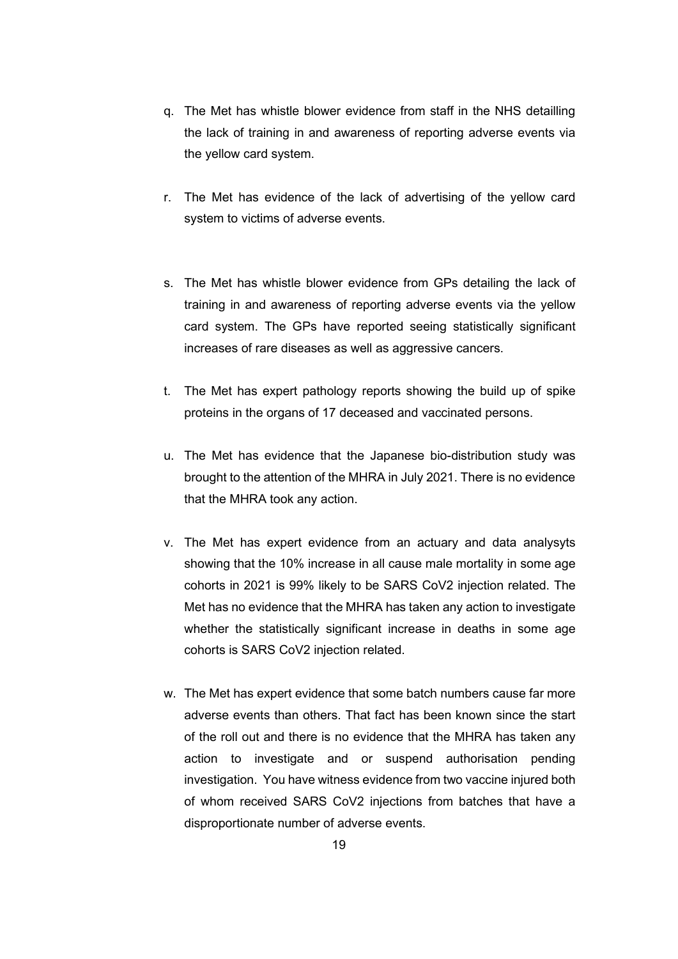- q. The Met has whistle blower evidence from staff in the NHS detailling the lack of training in and awareness of reporting adverse events via the yellow card system.
- r. The Met has evidence of the lack of advertising of the yellow card system to victims of adverse events.
- s. The Met has whistle blower evidence from GPs detailing the lack of training in and awareness of reporting adverse events via the yellow card system. The GPs have reported seeing statistically significant increases of rare diseases as well as aggressive cancers.
- t. The Met has expert pathology reports showing the build up of spike proteins in the organs of 17 deceased and vaccinated persons.
- u. The Met has evidence that the Japanese bio-distribution study was brought to the attention of the MHRA in July 2021. There is no evidence that the MHRA took any action.
- v. The Met has expert evidence from an actuary and data analysyts showing that the 10% increase in all cause male mortality in some age cohorts in 2021 is 99% likely to be SARS CoV2 injection related. The Met has no evidence that the MHRA has taken any action to investigate whether the statistically significant increase in deaths in some age cohorts is SARS CoV2 injection related.
- w. The Met has expert evidence that some batch numbers cause far more adverse events than others. That fact has been known since the start of the roll out and there is no evidence that the MHRA has taken any action to investigate and or suspend authorisation pending investigation. You have witness evidence from two vaccine injured both of whom received SARS CoV2 injections from batches that have a disproportionate number of adverse events.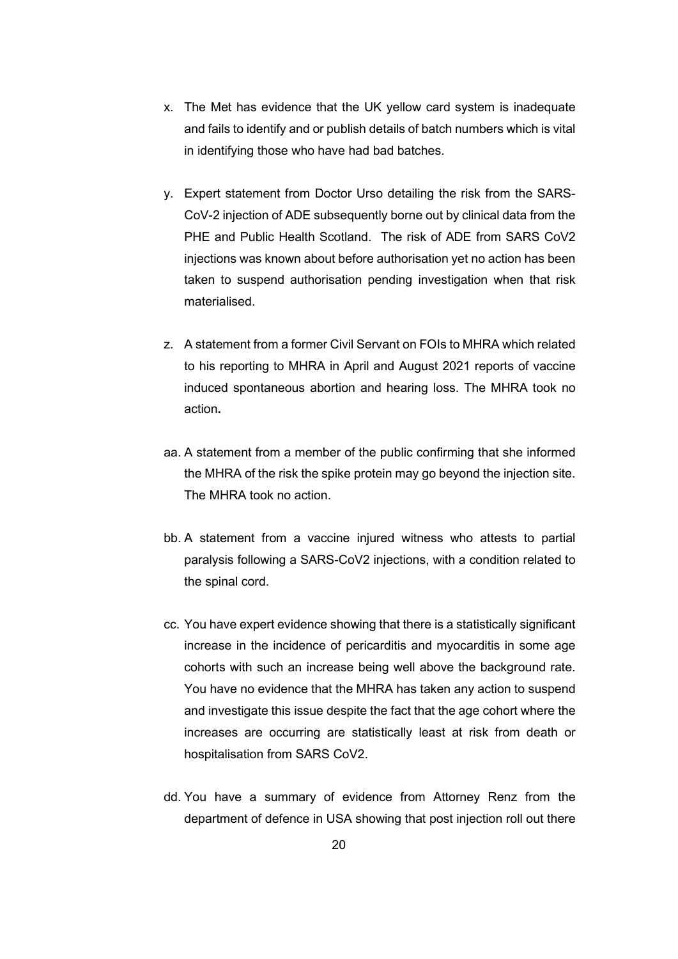- x. The Met has evidence that the UK yellow card system is inadequate and fails to identify and or publish details of batch numbers which is vital in identifying those who have had bad batches.
- y. Expert statement from Doctor Urso detailing the risk from the SARS-CoV-2 injection of ADE subsequently borne out by clinical data from the PHE and Public Health Scotland. The risk of ADE from SARS CoV2 injections was known about before authorisation yet no action has been taken to suspend authorisation pending investigation when that risk materialised.
- z. A statement from a former Civil Servant on FOIs to MHRA which related to his reporting to MHRA in April and August 2021 reports of vaccine induced spontaneous abortion and hearing loss. The MHRA took no action**.**
- aa. A statement from a member of the public confirming that she informed the MHRA of the risk the spike protein may go beyond the injection site. The MHRA took no action.
- bb. A statement from a vaccine injured witness who attests to partial paralysis following a SARS-CoV2 injections, with a condition related to the spinal cord.
- cc. You have expert evidence showing that there is a statistically significant increase in the incidence of pericarditis and myocarditis in some age cohorts with such an increase being well above the background rate. You have no evidence that the MHRA has taken any action to suspend and investigate this issue despite the fact that the age cohort where the increases are occurring are statistically least at risk from death or hospitalisation from SARS CoV2.
- dd. You have a summary of evidence from Attorney Renz from the department of defence in USA showing that post injection roll out there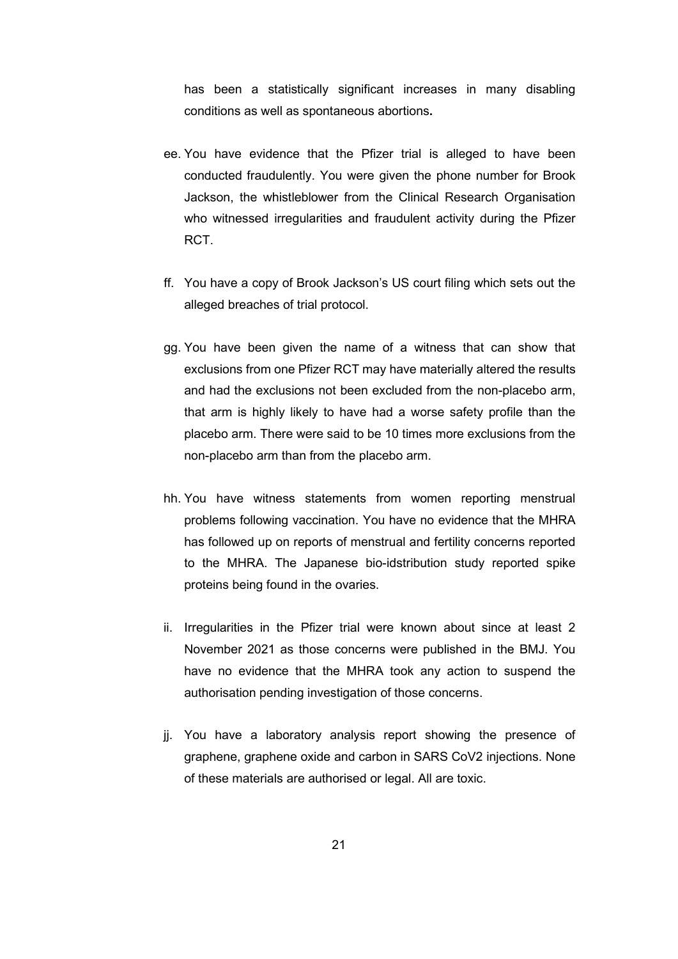has been a statistically significant increases in many disabling conditions as well as spontaneous abortions**.**

- ee. You have evidence that the Pfizer trial is alleged to have been conducted fraudulently. You were given the phone number for Brook Jackson, the whistleblower from the Clinical Research Organisation who witnessed irregularities and fraudulent activity during the Pfizer RCT.
- ff. You have a copy of Brook Jackson's US court filing which sets out the alleged breaches of trial protocol.
- gg. You have been given the name of a witness that can show that exclusions from one Pfizer RCT may have materially altered the results and had the exclusions not been excluded from the non-placebo arm, that arm is highly likely to have had a worse safety profile than the placebo arm. There were said to be 10 times more exclusions from the non-placebo arm than from the placebo arm.
- hh. You have witness statements from women reporting menstrual problems following vaccination. You have no evidence that the MHRA has followed up on reports of menstrual and fertility concerns reported to the MHRA. The Japanese bio-idstribution study reported spike proteins being found in the ovaries.
- ii. Irregularities in the Pfizer trial were known about since at least 2 November 2021 as those concerns were published in the BMJ. You have no evidence that the MHRA took any action to suspend the authorisation pending investigation of those concerns.
- jj. You have a laboratory analysis report showing the presence of graphene, graphene oxide and carbon in SARS CoV2 injections. None of these materials are authorised or legal. All are toxic.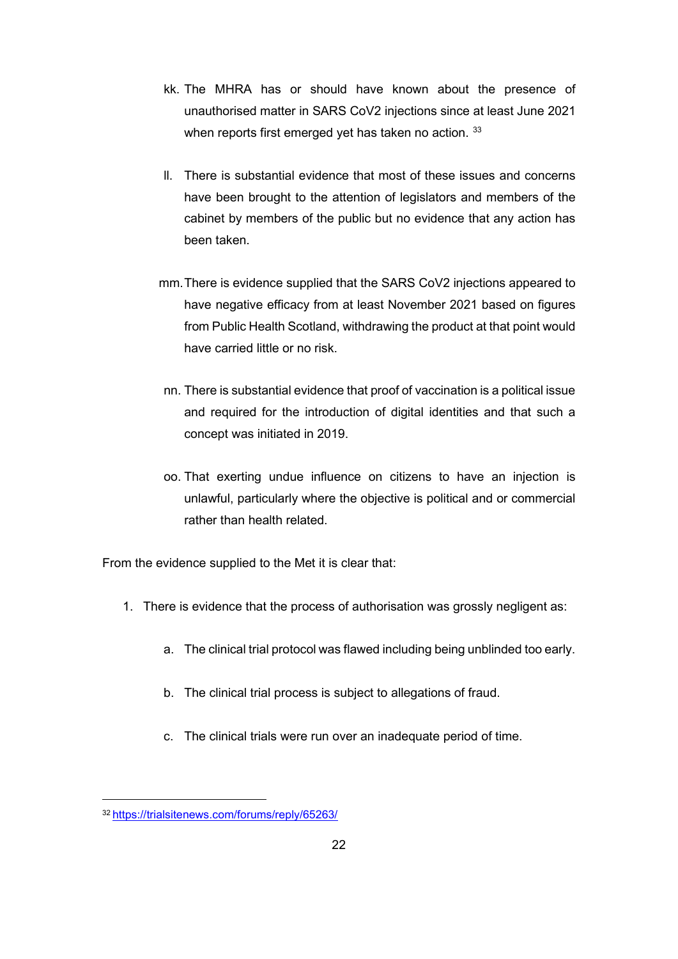- kk. The MHRA has or should have known about the presence of unauthorised matter in SARS CoV2 injections since at least June 2021 when reports first emerged yet has taken no action. [33](#page-21-0)
- ll. There is substantial evidence that most of these issues and concerns have been brought to the attention of legislators and members of the cabinet by members of the public but no evidence that any action has been taken.
- mm.There is evidence supplied that the SARS CoV2 injections appeared to have negative efficacy from at least November 2021 based on figures from Public Health Scotland, withdrawing the product at that point would have carried little or no risk.
- nn. There is substantial evidence that proof of vaccination is a political issue and required for the introduction of digital identities and that such a concept was initiated in 2019.
- oo. That exerting undue influence on citizens to have an injection is unlawful, particularly where the objective is political and or commercial rather than health related.

From the evidence supplied to the Met it is clear that:

- 1. There is evidence that the process of authorisation was grossly negligent as:
	- a. The clinical trial protocol was flawed including being unblinded too early.
	- b. The clinical trial process is subject to allegations of fraud.
	- c. The clinical trials were run over an inadequate period of time.

<span id="page-21-0"></span><sup>3</sup>[2 https://trialsitenews.com/forums/reply/65263/](https://trialsitenews.com/forums/reply/65263/)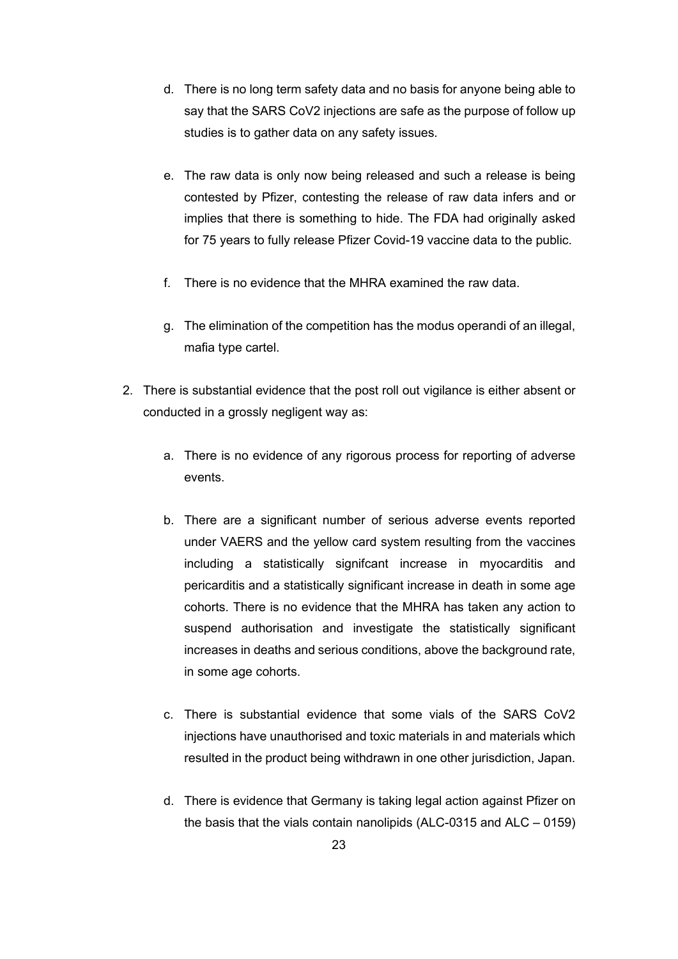- d. There is no long term safety data and no basis for anyone being able to say that the SARS CoV2 injections are safe as the purpose of follow up studies is to gather data on any safety issues.
- e. The raw data is only now being released and such a release is being contested by Pfizer, contesting the release of raw data infers and or implies that there is something to hide. The FDA had originally asked for 75 years to fully release Pfizer Covid-19 vaccine data to the public.
- f. There is no evidence that the MHRA examined the raw data.
- g. The elimination of the competition has the modus operandi of an illegal, mafia type cartel.
- 2. There is substantial evidence that the post roll out vigilance is either absent or conducted in a grossly negligent way as:
	- a. There is no evidence of any rigorous process for reporting of adverse events.
	- b. There are a significant number of serious adverse events reported under VAERS and the yellow card system resulting from the vaccines including a statistically signifcant increase in myocarditis and pericarditis and a statistically significant increase in death in some age cohorts. There is no evidence that the MHRA has taken any action to suspend authorisation and investigate the statistically significant increases in deaths and serious conditions, above the background rate, in some age cohorts.
	- c. There is substantial evidence that some vials of the SARS CoV2 injections have unauthorised and toxic materials in and materials which resulted in the product being withdrawn in one other jurisdiction, Japan.
	- d. There is evidence that Germany is taking legal action against Pfizer on the basis that the vials contain nanolipids (ALC-0315 and ALC – 0159)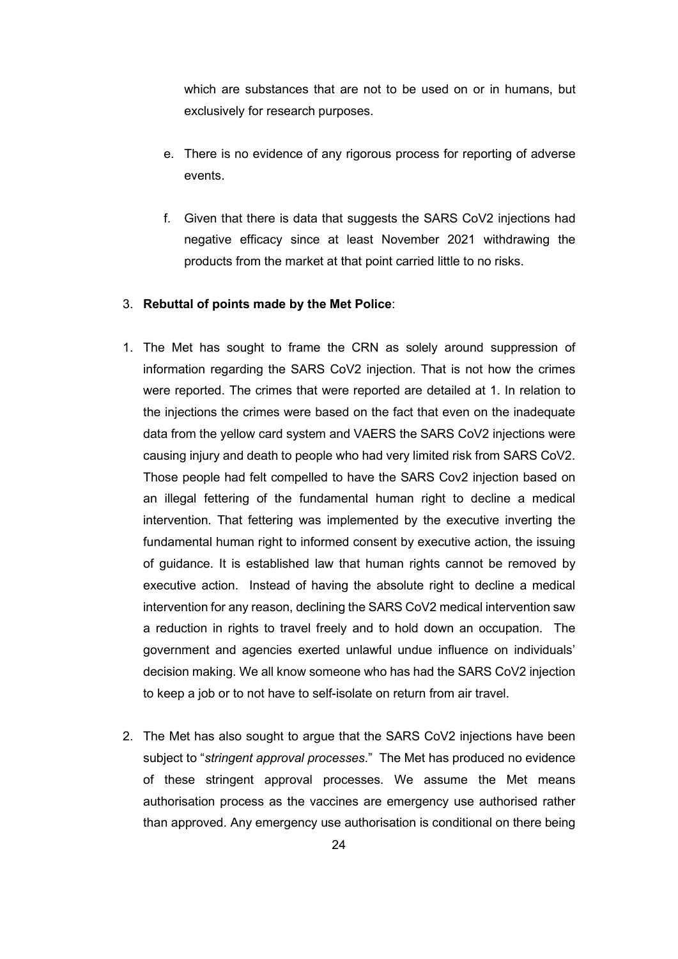which are substances that are not to be used on or in humans, but exclusively for research purposes.

- e. There is no evidence of any rigorous process for reporting of adverse events.
- f. Given that there is data that suggests the SARS CoV2 injections had negative efficacy since at least November 2021 withdrawing the products from the market at that point carried little to no risks.

### 3. **Rebuttal of points made by the Met Police**:

- 1. The Met has sought to frame the CRN as solely around suppression of information regarding the SARS CoV2 injection. That is not how the crimes were reported. The crimes that were reported are detailed at 1. In relation to the injections the crimes were based on the fact that even on the inadequate data from the yellow card system and VAERS the SARS CoV2 injections were causing injury and death to people who had very limited risk from SARS CoV2. Those people had felt compelled to have the SARS Cov2 injection based on an illegal fettering of the fundamental human right to decline a medical intervention. That fettering was implemented by the executive inverting the fundamental human right to informed consent by executive action, the issuing of guidance. It is established law that human rights cannot be removed by executive action. Instead of having the absolute right to decline a medical intervention for any reason, declining the SARS CoV2 medical intervention saw a reduction in rights to travel freely and to hold down an occupation. The government and agencies exerted unlawful undue influence on individuals' decision making. We all know someone who has had the SARS CoV2 injection to keep a job or to not have to self-isolate on return from air travel.
- 2. The Met has also sought to argue that the SARS CoV2 injections have been subject to "*stringent approval processes*." The Met has produced no evidence of these stringent approval processes. We assume the Met means authorisation process as the vaccines are emergency use authorised rather than approved. Any emergency use authorisation is conditional on there being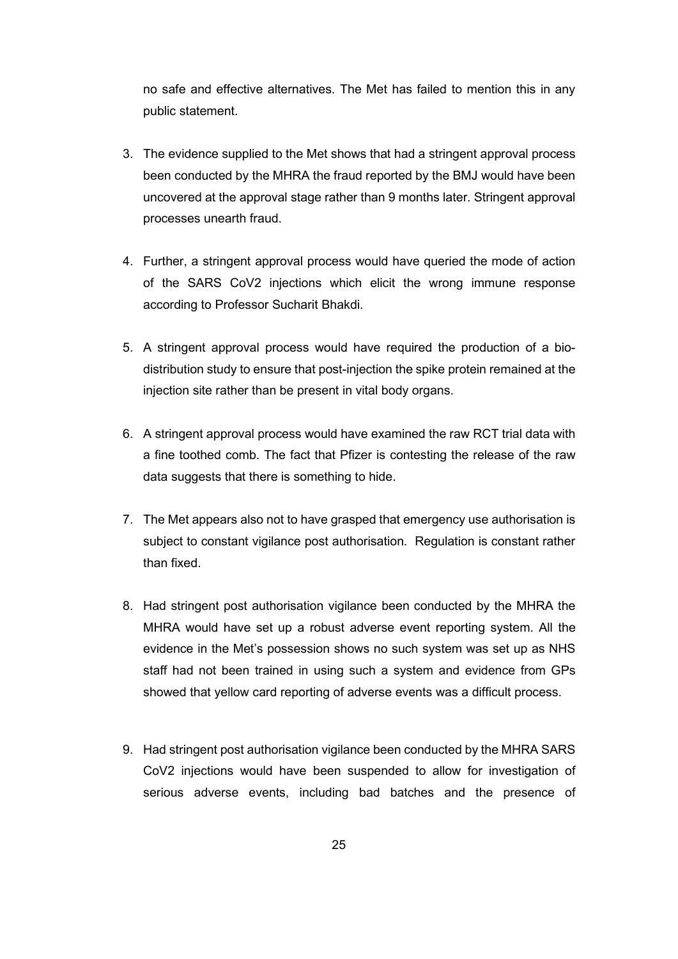no safe and effective alternatives. The Met has failed to mention this in any public statement.

- 3. The evidence supplied to the Met shows that had a stringent approval process been conducted by the MHRA the fraud reported by the BMJ would have been uncovered at the approval stage rather than 9 months later. Stringent approval processes unearth fraud.
- 4. Further, a stringent approval process would have queried the mode of action of the SARS CoV2 injections which elicit the wrong immune response according to Professor Sucharit Bhakdi.
- 5. A stringent approval process would have required the production of a biodistribution study to ensure that post-injection the spike protein remained at the injection site rather than be present in vital body organs.
- 6. A stringent approval process would have examined the raw RCT trial data with a fine toothed comb. The fact that Pfizer is contesting the release of the raw data suggests that there is something to hide.
- 7. The Met appears also not to have grasped that emergency use authorisation is subject to constant vigilance post authorisation. Regulation is constant rather than fixed.
- 8. Had stringent post authorisation vigilance been conducted by the MHRA the MHRA would have set up a robust adverse event reporting system. All the evidence in the Met's possession shows no such system was set up as NHS staff had not been trained in using such a system and evidence from GPs showed that yellow card reporting of adverse events was a difficult process.
- 9. Had stringent post authorisation vigilance been conducted by the MHRA SARS CoV2 injections would have been suspended to allow for investigation of serious adverse events, including bad batches and the presence of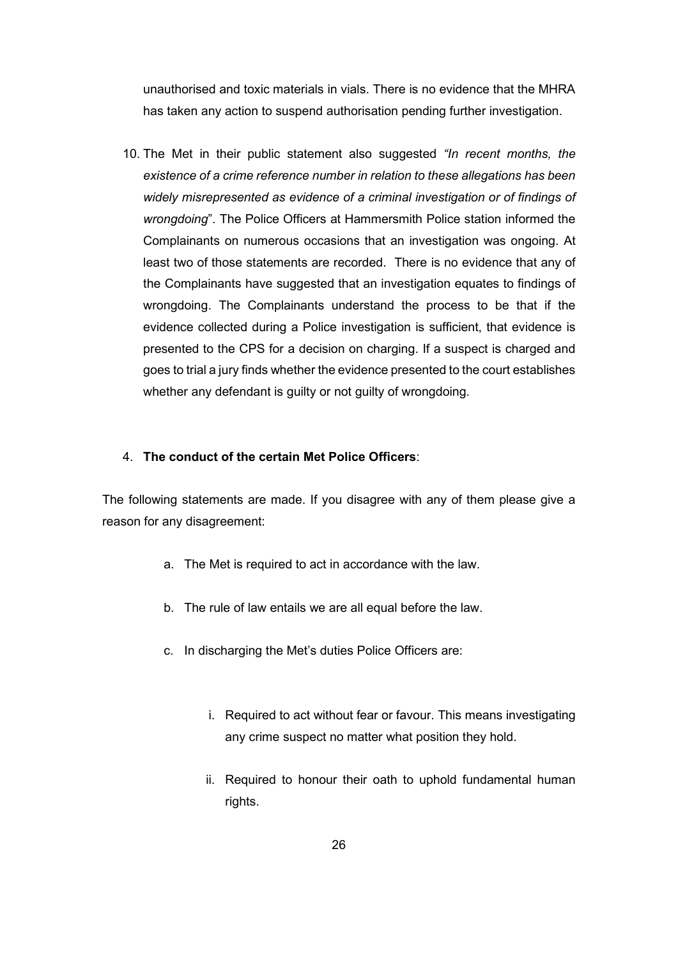unauthorised and toxic materials in vials. There is no evidence that the MHRA has taken any action to suspend authorisation pending further investigation.

10. The Met in their public statement also suggested *"In recent months, the existence of a crime reference number in relation to these allegations has been widely misrepresented as evidence of a criminal investigation or of findings of wrongdoing*". The Police Officers at Hammersmith Police station informed the Complainants on numerous occasions that an investigation was ongoing. At least two of those statements are recorded. There is no evidence that any of the Complainants have suggested that an investigation equates to findings of wrongdoing. The Complainants understand the process to be that if the evidence collected during a Police investigation is sufficient, that evidence is presented to the CPS for a decision on charging. If a suspect is charged and goes to trial a jury finds whether the evidence presented to the court establishes whether any defendant is guilty or not guilty of wrongdoing.

#### 4. **The conduct of the certain Met Police Officers**:

The following statements are made. If you disagree with any of them please give a reason for any disagreement:

- a. The Met is required to act in accordance with the law.
- b. The rule of law entails we are all equal before the law.
- c. In discharging the Met's duties Police Officers are:
	- i. Required to act without fear or favour. This means investigating any crime suspect no matter what position they hold.
	- ii. Required to honour their oath to uphold fundamental human rights.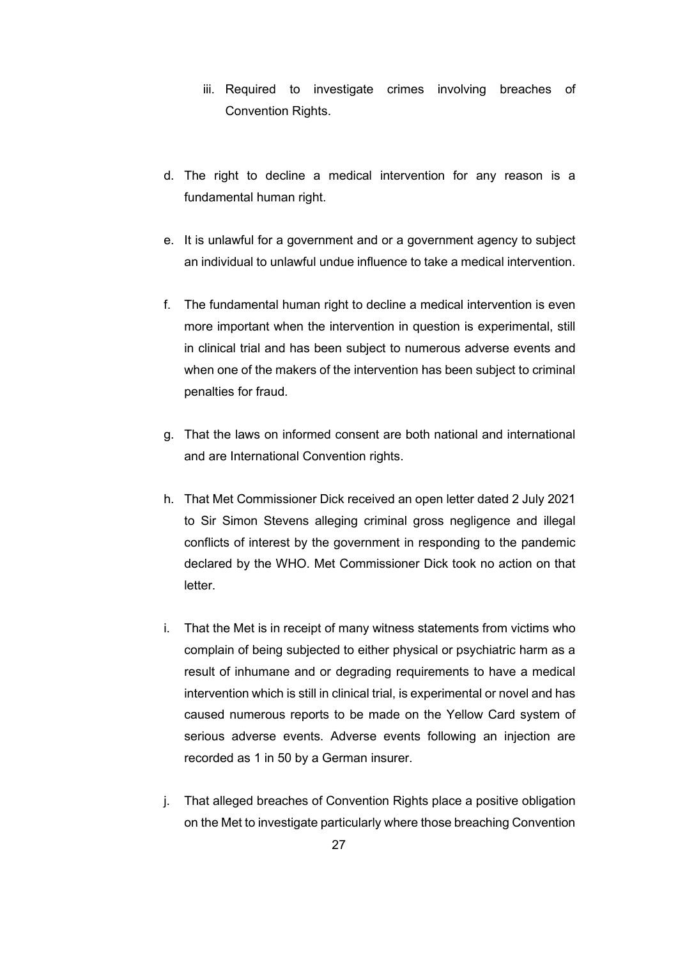- iii. Required to investigate crimes involving breaches of Convention Rights.
- d. The right to decline a medical intervention for any reason is a fundamental human right.
- e. It is unlawful for a government and or a government agency to subject an individual to unlawful undue influence to take a medical intervention.
- f. The fundamental human right to decline a medical intervention is even more important when the intervention in question is experimental, still in clinical trial and has been subject to numerous adverse events and when one of the makers of the intervention has been subject to criminal penalties for fraud.
- g. That the laws on informed consent are both national and international and are International Convention rights.
- h. That Met Commissioner Dick received an open letter dated 2 July 2021 to Sir Simon Stevens alleging criminal gross negligence and illegal conflicts of interest by the government in responding to the pandemic declared by the WHO. Met Commissioner Dick took no action on that letter.
- i. That the Met is in receipt of many witness statements from victims who complain of being subjected to either physical or psychiatric harm as a result of inhumane and or degrading requirements to have a medical intervention which is still in clinical trial, is experimental or novel and has caused numerous reports to be made on the Yellow Card system of serious adverse events. Adverse events following an injection are recorded as 1 in 50 by a German insurer.
- j. That alleged breaches of Convention Rights place a positive obligation on the Met to investigate particularly where those breaching Convention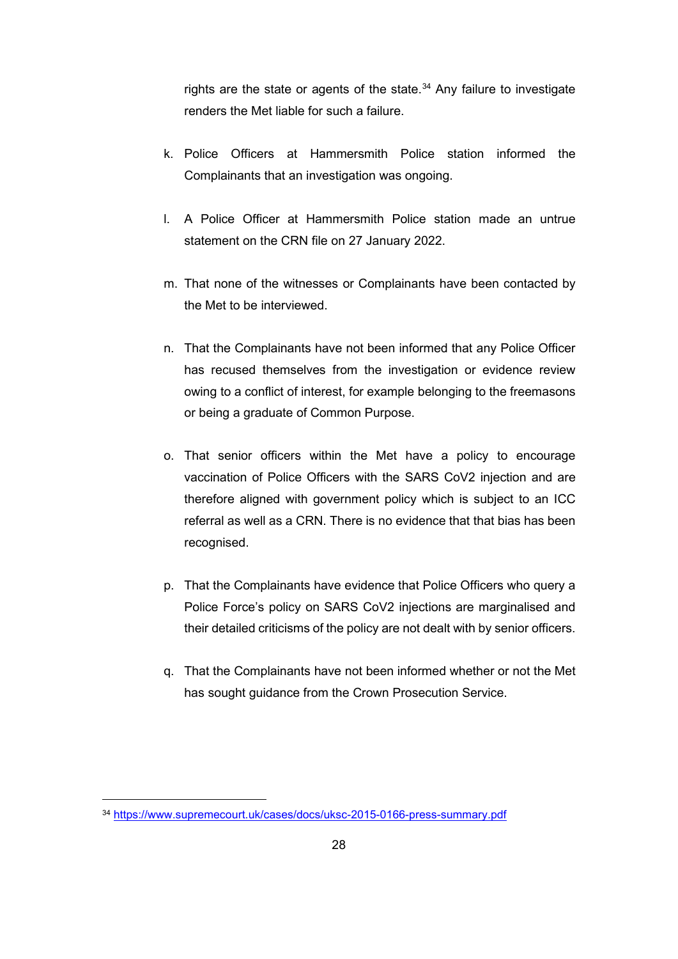rights are the state or agents of the state.<sup>[34](#page-27-0)</sup> Any failure to investigate renders the Met liable for such a failure.

- k. Police Officers at Hammersmith Police station informed the Complainants that an investigation was ongoing.
- l. A Police Officer at Hammersmith Police station made an untrue statement on the CRN file on 27 January 2022.
- m. That none of the witnesses or Complainants have been contacted by the Met to be interviewed.
- n. That the Complainants have not been informed that any Police Officer has recused themselves from the investigation or evidence review owing to a conflict of interest, for example belonging to the freemasons or being a graduate of Common Purpose.
- o. That senior officers within the Met have a policy to encourage vaccination of Police Officers with the SARS CoV2 injection and are therefore aligned with government policy which is subject to an ICC referral as well as a CRN. There is no evidence that that bias has been recognised.
- p. That the Complainants have evidence that Police Officers who query a Police Force's policy on SARS CoV2 injections are marginalised and their detailed criticisms of the policy are not dealt with by senior officers.
- q. That the Complainants have not been informed whether or not the Met has sought guidance from the Crown Prosecution Service.

<span id="page-27-0"></span><sup>34</sup> <https://www.supremecourt.uk/cases/docs/uksc-2015-0166-press-summary.pdf>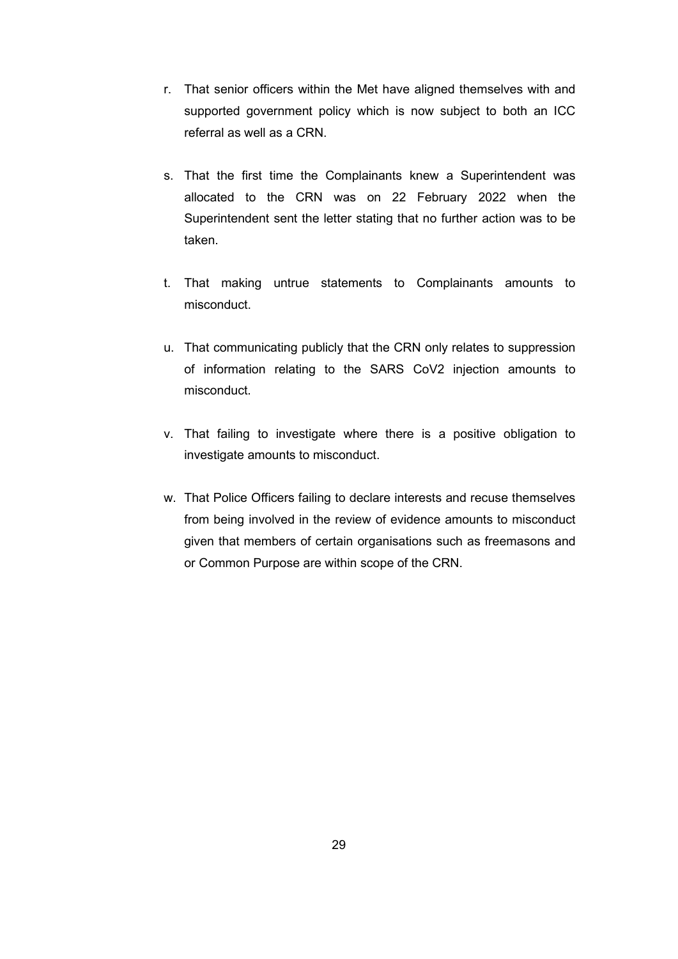- r. That senior officers within the Met have aligned themselves with and supported government policy which is now subject to both an ICC referral as well as a CRN.
- s. That the first time the Complainants knew a Superintendent was allocated to the CRN was on 22 February 2022 when the Superintendent sent the letter stating that no further action was to be taken.
- t. That making untrue statements to Complainants amounts to misconduct.
- u. That communicating publicly that the CRN only relates to suppression of information relating to the SARS CoV2 injection amounts to misconduct.
- v. That failing to investigate where there is a positive obligation to investigate amounts to misconduct.
- w. That Police Officers failing to declare interests and recuse themselves from being involved in the review of evidence amounts to misconduct given that members of certain organisations such as freemasons and or Common Purpose are within scope of the CRN.